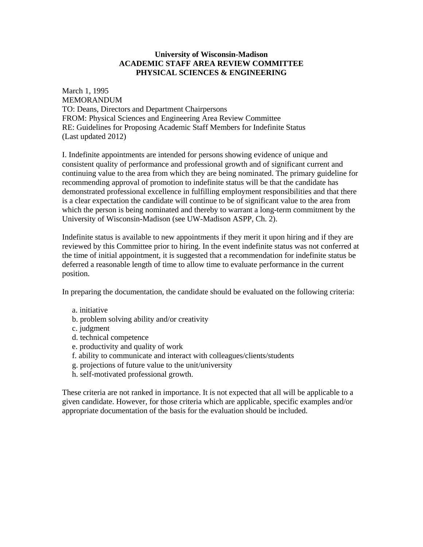## **University of Wisconsin-Madison ACADEMIC STAFF AREA REVIEW COMMITTEE PHYSICAL SCIENCES & ENGINEERING**

March 1, 1995 MEMORANDUM TO: Deans, Directors and Department Chairpersons FROM: Physical Sciences and Engineering Area Review Committee RE: Guidelines for Proposing Academic Staff Members for Indefinite Status (Last updated 2012)

I. Indefinite appointments are intended for persons showing evidence of unique and consistent quality of performance and professional growth and of significant current and continuing value to the area from which they are being nominated. The primary guideline for recommending approval of promotion to indefinite status will be that the candidate has demonstrated professional excellence in fulfilling employment responsibilities and that there is a clear expectation the candidate will continue to be of significant value to the area from which the person is being nominated and thereby to warrant a long-term commitment by the University of Wisconsin-Madison (see UW-Madison ASPP, Ch. 2).

Indefinite status is available to new appointments if they merit it upon hiring and if they are reviewed by this Committee prior to hiring. In the event indefinite status was not conferred at the time of initial appointment, it is suggested that a recommendation for indefinite status be deferred a reasonable length of time to allow time to evaluate performance in the current position.

In preparing the documentation, the candidate should be evaluated on the following criteria:

- a. initiative
- b. problem solving ability and/or creativity
- c. judgment
- d. technical competence
- e. productivity and quality of work
- f. ability to communicate and interact with colleagues/clients/students
- g. projections of future value to the unit/university
- h. self-motivated professional growth.

These criteria are not ranked in importance. It is not expected that all will be applicable to a given candidate. However, for those criteria which are applicable, specific examples and/or appropriate documentation of the basis for the evaluation should be included.